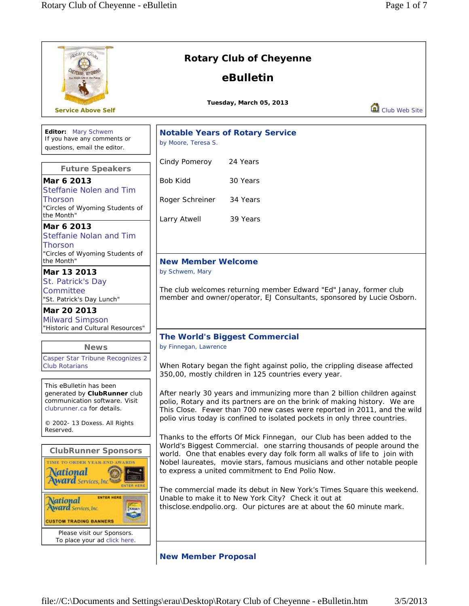| aotary Club                                                                                                                                                                   | <b>Rotary Club of Cheyenne</b>                                                                                                                                                                                                                                                                                                                                                                                                                                                                                                                                                                                                                                                                                                                                                                                                                                                                                                                                                                                                                                                                      |  |  |
|-------------------------------------------------------------------------------------------------------------------------------------------------------------------------------|-----------------------------------------------------------------------------------------------------------------------------------------------------------------------------------------------------------------------------------------------------------------------------------------------------------------------------------------------------------------------------------------------------------------------------------------------------------------------------------------------------------------------------------------------------------------------------------------------------------------------------------------------------------------------------------------------------------------------------------------------------------------------------------------------------------------------------------------------------------------------------------------------------------------------------------------------------------------------------------------------------------------------------------------------------------------------------------------------------|--|--|
| HEYENNE, WYOMI                                                                                                                                                                | eBulletin                                                                                                                                                                                                                                                                                                                                                                                                                                                                                                                                                                                                                                                                                                                                                                                                                                                                                                                                                                                                                                                                                           |  |  |
| <b>Service Above Self</b>                                                                                                                                                     | Tuesday, March 05, 2013<br>Club Web Site                                                                                                                                                                                                                                                                                                                                                                                                                                                                                                                                                                                                                                                                                                                                                                                                                                                                                                                                                                                                                                                            |  |  |
| Editor: Mary Schwem<br>If you have any comments or<br>questions, email the editor.                                                                                            | <b>Notable Years of Rotary Service</b><br>by Moore, Teresa S.                                                                                                                                                                                                                                                                                                                                                                                                                                                                                                                                                                                                                                                                                                                                                                                                                                                                                                                                                                                                                                       |  |  |
| <b>Future Speakers</b>                                                                                                                                                        | 24 Years<br>Cindy Pomeroy                                                                                                                                                                                                                                                                                                                                                                                                                                                                                                                                                                                                                                                                                                                                                                                                                                                                                                                                                                                                                                                                           |  |  |
| Mar 6 2013<br><b>Steffanie Nolen and Tim</b>                                                                                                                                  | <b>Bob Kidd</b><br>30 Years                                                                                                                                                                                                                                                                                                                                                                                                                                                                                                                                                                                                                                                                                                                                                                                                                                                                                                                                                                                                                                                                         |  |  |
| <b>Thorson</b><br>"Circles of Wyoming Students of<br>the Month"                                                                                                               | Roger Schreiner<br>34 Years                                                                                                                                                                                                                                                                                                                                                                                                                                                                                                                                                                                                                                                                                                                                                                                                                                                                                                                                                                                                                                                                         |  |  |
| Mar 6 2013<br><b>Steffanie Nolan and Tim</b><br>Thorson<br>"Circles of Wyoming Students of                                                                                    | Larry Atwell<br>39 Years                                                                                                                                                                                                                                                                                                                                                                                                                                                                                                                                                                                                                                                                                                                                                                                                                                                                                                                                                                                                                                                                            |  |  |
| the Month"                                                                                                                                                                    | <b>New Member Welcome</b>                                                                                                                                                                                                                                                                                                                                                                                                                                                                                                                                                                                                                                                                                                                                                                                                                                                                                                                                                                                                                                                                           |  |  |
| Mar 13 2013<br>St. Patrick's Day<br>Committee<br>"St. Patrick's Day Lunch"                                                                                                    | by Schwem, Mary<br>The club welcomes returning member Edward "Ed" Janay, former club<br>member and owner/operator, EJ Consultants, sponsored by Lucie Osborn.                                                                                                                                                                                                                                                                                                                                                                                                                                                                                                                                                                                                                                                                                                                                                                                                                                                                                                                                       |  |  |
| Mar 20 2013<br><b>Milward Simpson</b><br>"Historic and Cultural Resources"                                                                                                    |                                                                                                                                                                                                                                                                                                                                                                                                                                                                                                                                                                                                                                                                                                                                                                                                                                                                                                                                                                                                                                                                                                     |  |  |
| <b>News</b>                                                                                                                                                                   | <b>The World's Biggest Commercial</b><br>by Finnegan, Lawrence<br>When Rotary began the fight against polio, the crippling disease affected<br>350,00, mostly children in 125 countries every year.<br>After nearly 30 years and immunizing more than 2 billion children against<br>polio, Rotary and its partners are on the brink of making history. We are<br>This Close. Fewer than 700 new cases were reported in 2011, and the wild<br>polio virus today is confined to isolated pockets in only three countries.<br>Thanks to the efforts Of Mick Finnegan, our Club has been added to the<br>World's Biggest Commercial. one starring thousands of people around the<br>world. One that enables every day folk form all walks of life to join with<br>Nobel laureates, movie stars, famous musicians and other notable people<br>to express a united commitment to End Polio Now.<br>The commercial made its debut in New York's Times Square this weekend.<br>Unable to make it to New York City? Check it out at<br>thisclose.endpolio.org. Our pictures are at about the 60 minute mark. |  |  |
| Casper Star Tribune Recognizes 2<br><b>Club Rotarians</b>                                                                                                                     |                                                                                                                                                                                                                                                                                                                                                                                                                                                                                                                                                                                                                                                                                                                                                                                                                                                                                                                                                                                                                                                                                                     |  |  |
| This eBulletin has been<br>generated by ClubRunner club<br>communication software. Visit<br>clubrunner.ca for details.<br>© 2002- 13 Doxess. All Rights<br>Reserved.          |                                                                                                                                                                                                                                                                                                                                                                                                                                                                                                                                                                                                                                                                                                                                                                                                                                                                                                                                                                                                                                                                                                     |  |  |
| <b>ClubRunner Sponsors</b><br>TIME TO ORDER YEAR-END AWARDS<br>National<br><b>Award</b> Services, Inc.                                                                        |                                                                                                                                                                                                                                                                                                                                                                                                                                                                                                                                                                                                                                                                                                                                                                                                                                                                                                                                                                                                                                                                                                     |  |  |
| <b>ENTER HERE</b><br><b>Vational</b><br>Award Services, Inc.<br><b>DEALANT</b><br><b>CUSTOM TRADING BANNERS</b><br>Please visit our Sponsors.<br>To place your ad click here. |                                                                                                                                                                                                                                                                                                                                                                                                                                                                                                                                                                                                                                                                                                                                                                                                                                                                                                                                                                                                                                                                                                     |  |  |
|                                                                                                                                                                               | <b>New Member Proposal</b>                                                                                                                                                                                                                                                                                                                                                                                                                                                                                                                                                                                                                                                                                                                                                                                                                                                                                                                                                                                                                                                                          |  |  |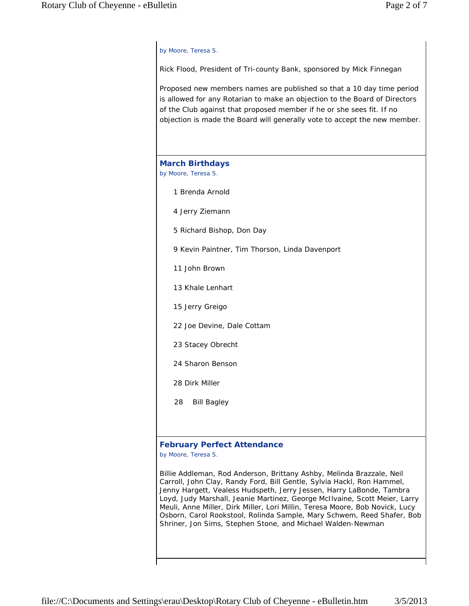#### *by Moore, Teresa S.*

Rick Flood, President of Tri-county Bank, sponsored by Mick Finnegan

Proposed new members names are published so that a 10 day time period is allowed for any Rotarian to make an objection to the Board of Directors of the Club against that proposed member if he or she sees fit. If no objection is made the Board will generally vote to accept the new member.

#### **March Birthdays** *by Moore, Teresa S.*

- 1 Brenda Arnold
- 4 Jerry Ziemann
- 5 Richard Bishop, Don Day
- 9 Kevin Paintner, Tim Thorson, Linda Davenport
- 11 John Brown
- 13 Khale Lenhart
- 15 Jerry Greigo
- 22 Joe Devine, Dale Cottam
- 23 Stacey Obrecht
- 24 Sharon Benson
- 28 Dirk Miller
- 28 Bill Bagley

#### **February Perfect Attendance**

*by Moore, Teresa S.*

Billie Addleman, Rod Anderson, Brittany Ashby, Melinda Brazzale, Neil Carroll, John Clay, Randy Ford, Bill Gentle, Sylvia Hackl, Ron Hammel, Jenny Hargett, Vealess Hudspeth, Jerry Jessen, Harry LaBonde, Tambra Loyd, Judy Marshall, Jeanie Martinez, George McIlvaine, Scott Meier, Larry Meuli, Anne Miller, Dirk Miller, Lori Millin, Teresa Moore, Bob Novick, Lucy Osborn, Carol Rookstool, Rolinda Sample, Mary Schwem, Reed Shafer, Bob Shriner, Jon Sims, Stephen Stone, and Michael Walden-Newman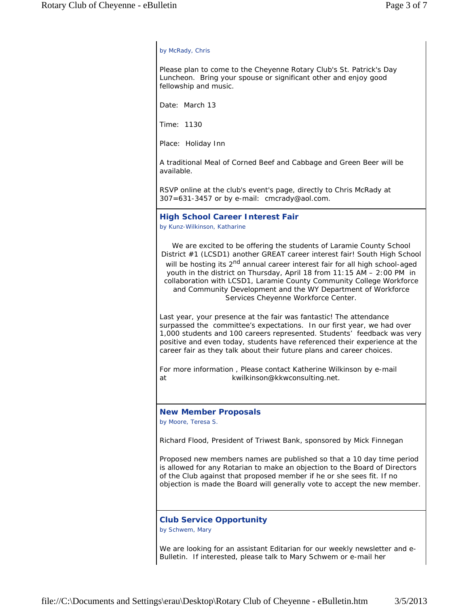#### *by McRady, Chris*

Please plan to come to the Cheyenne Rotary Club's St. Patrick's Day Luncheon. Bring your spouse or significant other and enjoy good fellowship and music.

Date: March 13

Time: 1130

Place: Holiday Inn

A traditional Meal of Corned Beef and Cabbage and Green Beer will be available.

RSVP online at the club's event's page, directly to Chris McRady at 307=631-3457 or by e-mail: cmcrady@aol.com.

#### **High School Career Interest Fair**

*by Kunz-Wilkinson, Katharine*

We are excited to be offering the students of Laramie County School District #1 (LCSD1) another GREAT career interest fair! South High School will be hosting its 2<sup>nd</sup> annual career interest fair for all high school-aged youth in the district on Thursday, April 18 from 11:15 AM – 2:00 PM in collaboration with LCSD1, Laramie County Community College Workforce and Community Development and the WY Department of Workforce Services Cheyenne Workforce Center.

Last year, your presence at the fair was fantastic! The attendance surpassed the committee's expectations. In our first year, we had over 1,000 students and 100 careers represented. Students' feedback was very positive and even today, students have referenced their experience at the career fair as they talk about their future plans and career choices.

For more information , Please contact Katherine Wilkinson by e-mail at kwilkinson@kkwconsulting.net.

#### **New Member Proposals**

*by Moore, Teresa S.*

Richard Flood, President of Triwest Bank, sponsored by Mick Finnegan

Proposed new members names are published so that a 10 day time period is allowed for any Rotarian to make an objection to the Board of Directors of the Club against that proposed member if he or she sees fit. If no objection is made the Board will generally vote to accept the new member.

## **Club Service Opportunity**

*by Schwem, Mary*

We are looking for an assistant Editarian for our weekly newsletter and e-Bulletin. If interested, please talk to Mary Schwem or e-mail her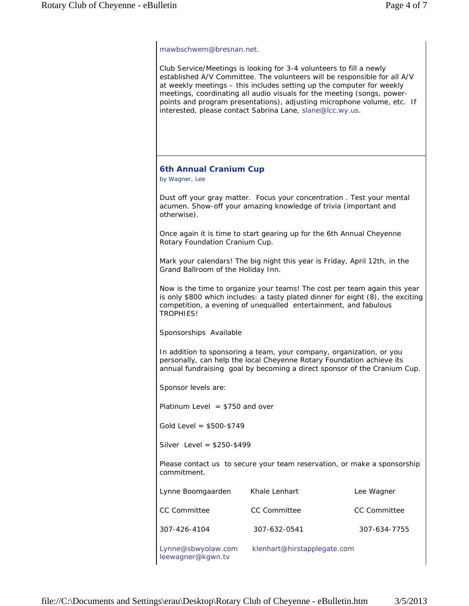mawbschwem@bresnan.net.

Club Service/Meetings is looking for 3-4 volunteers to fill a newly established A/V Committee. The volunteers will be responsible for all A/V at weekly meetings – this includes setting up the computer for weekly meetings, coordinating all audio visuals for the meeting (songs, powerpoints and program presentations), adjusting microphone volume, etc. If interested, please contact Sabrina Lane, slane@lcc.wy.us.

### **6th Annual Cranium Cup**

*by Wagner, Lee*

Dust off your gray matter. Focus your concentration . Test your mental acumen. Show-off your amazing knowledge of trivia (important and otherwise).

Once again it is time to start gearing up for the 6th Annual Cheyenne Rotary Foundation Cranium Cup.

Mark your calendars! The big night this year is Friday, April 12th, in the Grand Ballroom of the Holiday Inn.

Now is the time to organize your teams! The cost per team again this year is only \$800 which includes: a tasty plated dinner for eight (8), the exciting competition, a evening of unequalled entertainment, and fabulous TROPHIES!

Sponsorships Available

In addition to sponsoring a team, your company, organization, or you personally, can help the local Cheyenne Rotary Foundation achieve its annual fundraising goal by becoming a direct sponsor of the Cranium Cup.

Sponsor levels are:

Platinum Level  $= $750$  and over

Gold Level = \$500-\$749

Silver Level = \$250-\$499

Please contact us to secure your team reservation, or make a sponsorship commitment.

| Lynne Boomgaarden                       | Khale Lenhart               | Lee Wagner          |
|-----------------------------------------|-----------------------------|---------------------|
| <b>CC Committee</b>                     | CC Committee                | <b>CC Committee</b> |
| 307-426-4104                            | 307-632-0541                | 307-634-7755        |
| Lynne@sbwyolaw.com<br>leewagner@kgwn.tv | klenhart@hirstapplegate.com |                     |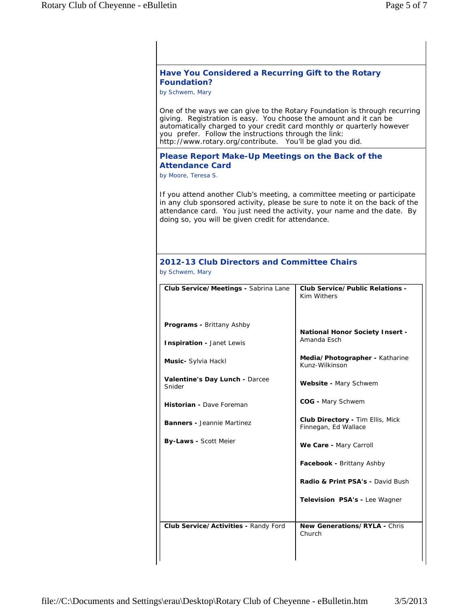# **Have You Considered a Recurring Gift to the Rotary Foundation?** *by Schwem, Mary* One of the ways we can give to the Rotary Foundation is through recurring giving. Registration is easy. You choose the amount and it can be automatically charged to your credit card monthly or quarterly however you prefer. Follow the instructions through the link: http://www.rotary.org/contribute. You'll be glad you did. **Please Report Make-Up Meetings on the Back of the Attendance Card** *by Moore, Teresa S.* If you attend another Club's meeting, a committee meeting or participate in any club sponsored activity, please be sure to note it on the back of the attendance card. You just need the activity, your name and the date. By doing so, you will be given credit for attendance. **2012-13 Club Directors and Committee Chairs** *by Schwem, Mary* **Club Service/Meetings -** Sabrina Lane *Programs* **-** Brittany Ashby **Inspiration** - Janet Lewis *Music***-** Sylvia Hackl *Valentine's Day Lunch* **-** Darcee Snider *Historian* **-** Dave Foreman *Banners* **-** Jeannie Martinez *By-Laws* **-** Scott Meier **Club Service/Public Relations -**  Kim Withers *National Honor Society Insert* **-**  Amanda Esch *Media/Photographer* **-** Katharine Kunz-Wilkinson *Website* **-** Mary Schwem *COG* **-** Mary Schwem *Club Directory* **-** Tim Ellis, Mick Finnegan, Ed Wallace *We Care* **-** Mary Carroll *Facebook* **-** Brittany Ashby *Radio & Print PSA's* **-** David Bush **Television PSA's - Lee Wagner Club Service/Activities -** Randy Ford **New Generations/RYLA - Chris** Church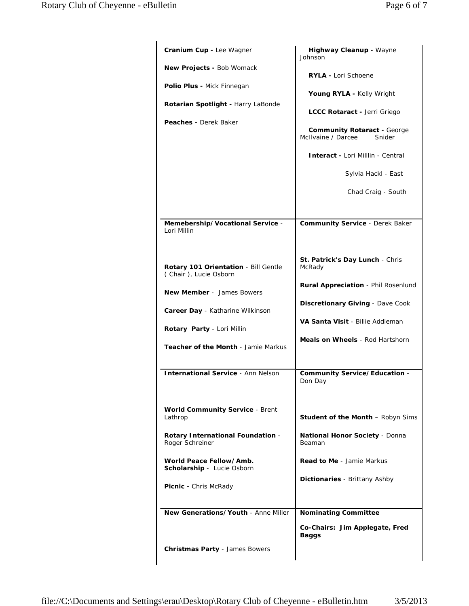| Cranium Cup - Lee Wagner                                                                                                                                                                                                                                       | Highway Cleanup - Wayne<br>Johnson                                                                                                                                                                                                                           |
|----------------------------------------------------------------------------------------------------------------------------------------------------------------------------------------------------------------------------------------------------------------|--------------------------------------------------------------------------------------------------------------------------------------------------------------------------------------------------------------------------------------------------------------|
| <b>New Projects - Bob Womack</b><br><b>Polio Plus - Mick Finnegan</b><br>Rotarian Spotlight - Harry LaBonde<br><b>Peaches - Derek Baker</b>                                                                                                                    | RYLA - Lori Schoene<br>Young RYLA - Kelly Wright<br>LCCC Rotaract - Jerri Griego<br><b>Community Rotaract - George</b><br>McIlvaine / Darcee<br>Snider<br><b>Interact - Lori Milllin - Central</b><br>Sylvia Hackl - East<br>Chad Craig - South              |
| Memebership/Vocational Service -<br>Lori Millin                                                                                                                                                                                                                | <b>Community Service - Derek Baker</b>                                                                                                                                                                                                                       |
| Rotary 101 Orientation - Bill Gentle<br>(Chair), Lucie Osborn<br><b>New Member</b> - James Bowers<br>Career Day - Katharine Wilkinson<br>Rotary Party - Lori Millin<br><b>Teacher of the Month - Jamie Markus</b><br><b>International Service - Ann Nelson</b> | St. Patrick's Day Lunch - Chris<br>McRady<br><b>Rural Appreciation</b> - Phil Rosenlund<br>Discretionary Giving - Dave Cook<br>VA Santa Visit - Billie Addleman<br><b>Meals on Wheels</b> - Rod Hartshorn<br><b>Community Service/Education -</b><br>Don Day |
| <b>World Community Service - Brent</b><br>Lathrop                                                                                                                                                                                                              | <b>Student of the Month - Robyn Sims</b>                                                                                                                                                                                                                     |
| <b>Rotary International Foundation -</b><br>Roger Schreiner                                                                                                                                                                                                    | <b>National Honor Society - Donna</b><br>Beaman                                                                                                                                                                                                              |
| World Peace Fellow/Amb.<br>Scholarship - Lucie Osborn                                                                                                                                                                                                          | <b>Read to Me</b> - Jamie Markus                                                                                                                                                                                                                             |
| <b>Picnic - Chris McRady</b>                                                                                                                                                                                                                                   | <b>Dictionaries</b> - Brittany Ashby                                                                                                                                                                                                                         |
| New Generations/Youth - Anne Miller<br><b>Christmas Party - James Bowers</b>                                                                                                                                                                                   | <b>Nominating Committee</b><br>Co-Chairs: Jim Applegate, Fred<br>Baggs                                                                                                                                                                                       |